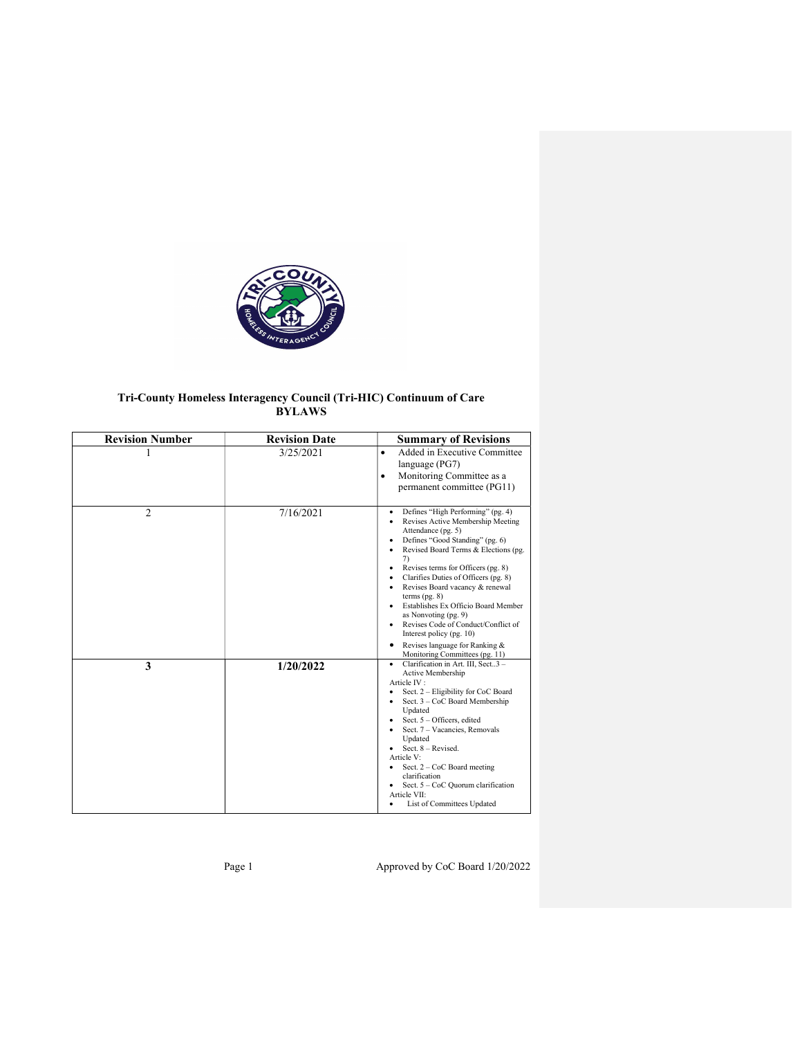

# Tri-County Homeless Interagency Council (Tri-HIC) Continuum of Care BYLAWS

| <b>Revision Number</b> | <b>Revision Date</b> | <b>Summary of Revisions</b>                                                                                                                                                                                                                                                                                                                                                                                                                                                                                                  |
|------------------------|----------------------|------------------------------------------------------------------------------------------------------------------------------------------------------------------------------------------------------------------------------------------------------------------------------------------------------------------------------------------------------------------------------------------------------------------------------------------------------------------------------------------------------------------------------|
|                        | 3/25/2021            | Added in Executive Committee<br>$\bullet$<br>language (PG7)<br>Monitoring Committee as a<br>$\bullet$<br>permanent committee (PG11)                                                                                                                                                                                                                                                                                                                                                                                          |
| $\mathfrak{D}$         | 7/16/2021            | Defines "High Performing" (pg. 4)<br>٠<br>Revises Active Membership Meeting<br>Attendance (pg. 5)<br>Defines "Good Standing" (pg. 6)<br>Revised Board Terms & Elections (pg.<br>7)<br>Revises terms for Officers (pg. 8)<br>Clarifies Duties of Officers (pg. 8)<br>Revises Board vacancy & renewal<br>terms $(pg. 8)$<br>Establishes Ex Officio Board Member<br>as Nonvoting (pg. 9)<br>Revises Code of Conduct/Conflict of<br>Interest policy (pg. 10)<br>Revises language for Ranking &<br>Monitoring Committees (pg. 11) |
| 3                      | 1/20/2022            | Clarification in Art. III, Sect3 -<br>$\bullet$<br>Active Membership<br>Article IV:<br>Sect. 2 - Eligibility for CoC Board<br>Sect. 3 - CoC Board Membership<br>Updated<br>Sect. 5 - Officers, edited<br>Sect. 7 - Vacancies, Removals<br>Updated<br>Sect. 8 - Revised.<br>Article V:<br>Sect. $2 - \text{CoC}$ Board meeting<br>٠<br>clarification<br>Sect. 5 - CoC Quorum clarification<br>Article VII:<br>List of Committees Updated                                                                                      |

Page 1 Approved by CoC Board 1/20/2022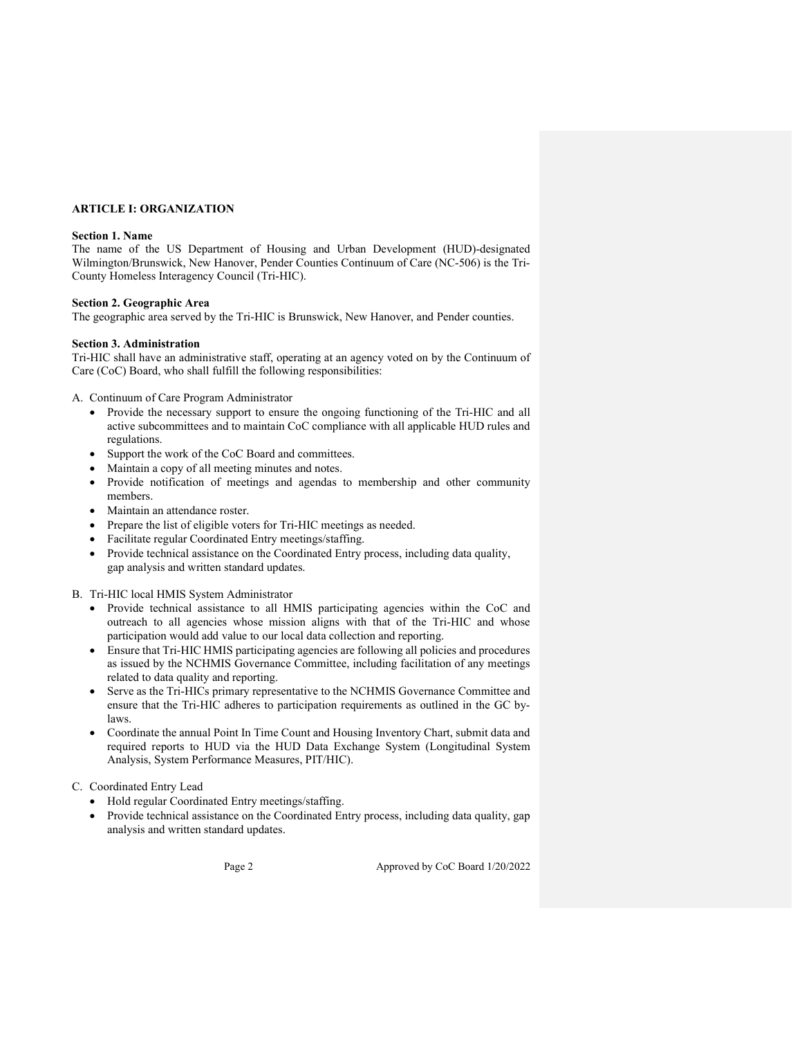# ARTICLE I: ORGANIZATION

#### Section 1. Name

The name of the US Department of Housing and Urban Development (HUD)-designated Wilmington/Brunswick, New Hanover, Pender Counties Continuum of Care (NC-506) is the Tri-County Homeless Interagency Council (Tri-HIC).

### Section 2. Geographic Area

The geographic area served by the Tri-HIC is Brunswick, New Hanover, and Pender counties.

## Section 3. Administration

Tri-HIC shall have an administrative staff, operating at an agency voted on by the Continuum of Care (CoC) Board, who shall fulfill the following responsibilities:

A. Continuum of Care Program Administrator

- Provide the necessary support to ensure the ongoing functioning of the Tri-HIC and all active subcommittees and to maintain CoC compliance with all applicable HUD rules and regulations.
- Support the work of the CoC Board and committees.
- Maintain a copy of all meeting minutes and notes.
- Provide notification of meetings and agendas to membership and other community members.
- Maintain an attendance roster.
- Prepare the list of eligible voters for Tri-HIC meetings as needed.
- Facilitate regular Coordinated Entry meetings/staffing.
- Provide technical assistance on the Coordinated Entry process, including data quality, gap analysis and written standard updates.

B. Tri-HIC local HMIS System Administrator

- Provide technical assistance to all HMIS participating agencies within the CoC and outreach to all agencies whose mission aligns with that of the Tri-HIC and whose participation would add value to our local data collection and reporting.
- Ensure that Tri-HIC HMIS participating agencies are following all policies and procedures as issued by the NCHMIS Governance Committee, including facilitation of any meetings related to data quality and reporting.
- Serve as the Tri-HICs primary representative to the NCHMIS Governance Committee and ensure that the Tri-HIC adheres to participation requirements as outlined in the GC bylaws.
- Coordinate the annual Point In Time Count and Housing Inventory Chart, submit data and required reports to HUD via the HUD Data Exchange System (Longitudinal System Analysis, System Performance Measures, PIT/HIC).
- C. Coordinated Entry Lead
	- Hold regular Coordinated Entry meetings/staffing.
	- Provide technical assistance on the Coordinated Entry process, including data quality, gap analysis and written standard updates.

Page 2 Approved by CoC Board 1/20/2022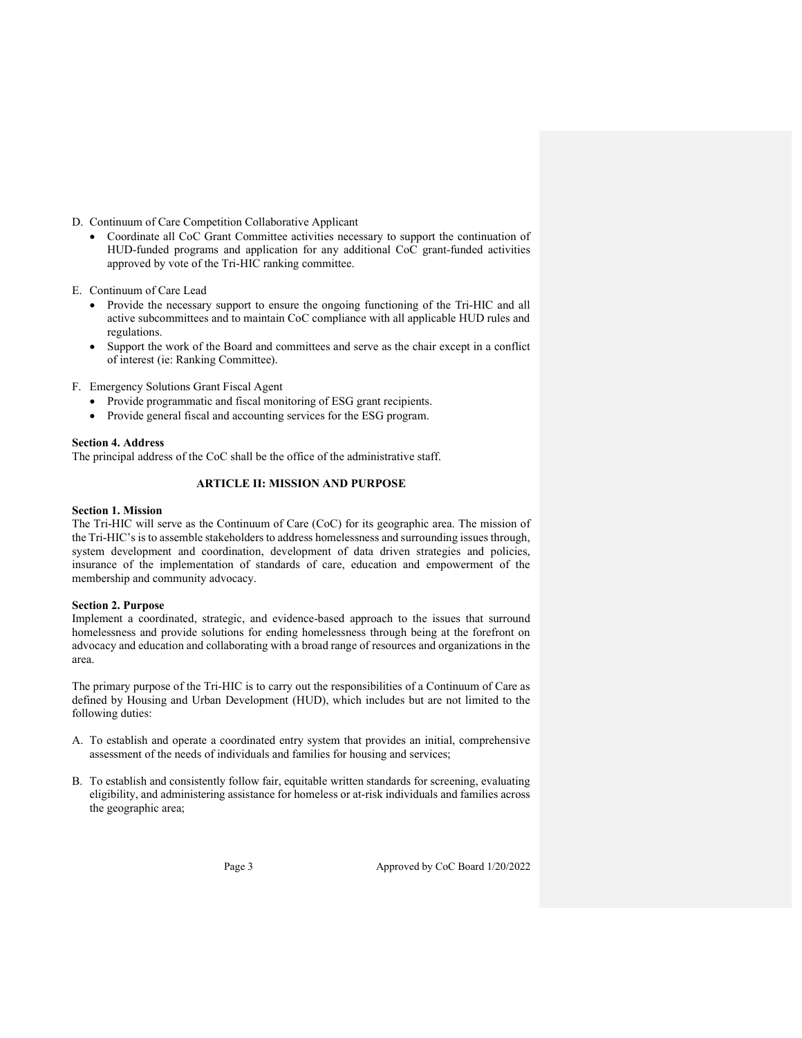## D. Continuum of Care Competition Collaborative Applicant

 Coordinate all CoC Grant Committee activities necessary to support the continuation of HUD-funded programs and application for any additional CoC grant-funded activities approved by vote of the Tri-HIC ranking committee.

E. Continuum of Care Lead

- Provide the necessary support to ensure the ongoing functioning of the Tri-HIC and all active subcommittees and to maintain CoC compliance with all applicable HUD rules and regulations.
- Support the work of the Board and committees and serve as the chair except in a conflict of interest (ie: Ranking Committee).
- F. Emergency Solutions Grant Fiscal Agent
	- Provide programmatic and fiscal monitoring of ESG grant recipients.
	- Provide general fiscal and accounting services for the ESG program.

# Section 4. Address

The principal address of the CoC shall be the office of the administrative staff.

# ARTICLE II: MISSION AND PURPOSE

## Section 1. Mission

The Tri-HIC will serve as the Continuum of Care (CoC) for its geographic area. The mission of the Tri-HIC's is to assemble stakeholders to address homelessness and surrounding issues through, system development and coordination, development of data driven strategies and policies, insurance of the implementation of standards of care, education and empowerment of the membership and community advocacy.

## Section 2. Purpose

Implement a coordinated, strategic, and evidence-based approach to the issues that surround homelessness and provide solutions for ending homelessness through being at the forefront on advocacy and education and collaborating with a broad range of resources and organizations in the area.

The primary purpose of the Tri-HIC is to carry out the responsibilities of a Continuum of Care as defined by Housing and Urban Development (HUD), which includes but are not limited to the following duties:

- A. To establish and operate a coordinated entry system that provides an initial, comprehensive assessment of the needs of individuals and families for housing and services;
- B. To establish and consistently follow fair, equitable written standards for screening, evaluating eligibility, and administering assistance for homeless or at-risk individuals and families across the geographic area;

Page 3 Approved by CoC Board 1/20/2022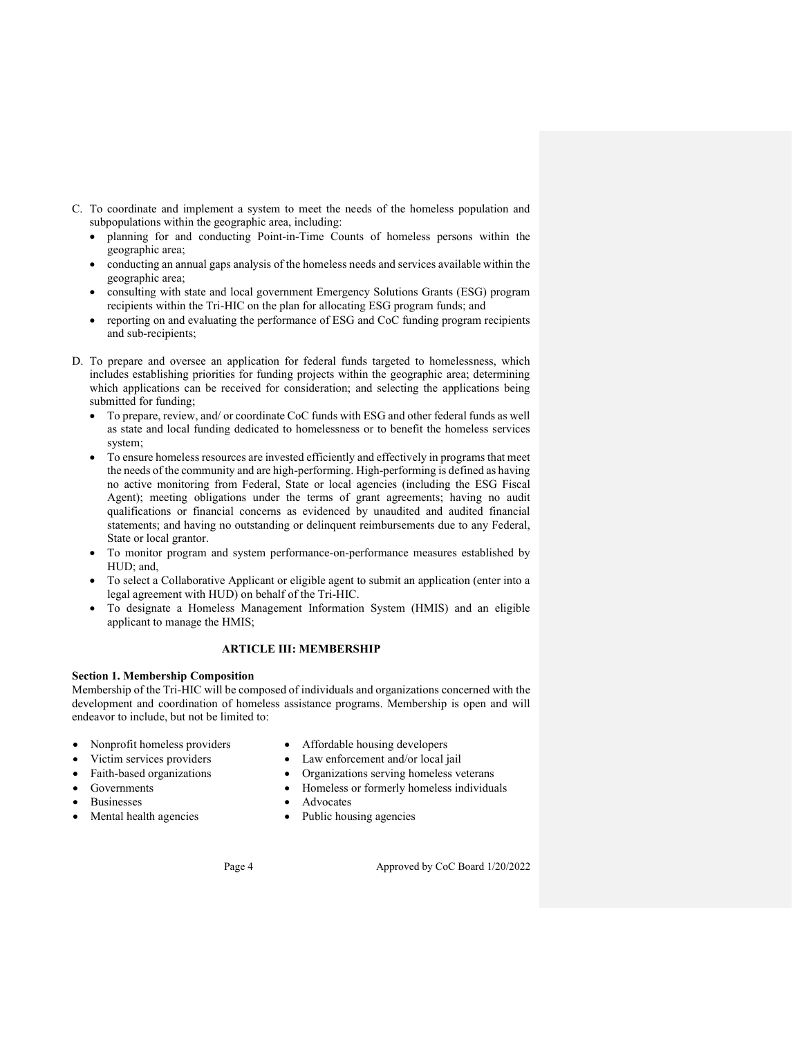- C. To coordinate and implement a system to meet the needs of the homeless population and subpopulations within the geographic area, including:
	- planning for and conducting Point-in-Time Counts of homeless persons within the geographic area;
	- conducting an annual gaps analysis of the homeless needs and services available within the geographic area;
	- consulting with state and local government Emergency Solutions Grants (ESG) program recipients within the Tri-HIC on the plan for allocating ESG program funds; and
	- reporting on and evaluating the performance of ESG and CoC funding program recipients and sub-recipients;
- D. To prepare and oversee an application for federal funds targeted to homelessness, which includes establishing priorities for funding projects within the geographic area; determining which applications can be received for consideration; and selecting the applications being submitted for funding;
	- To prepare, review, and/ or coordinate CoC funds with ESG and other federal funds as well as state and local funding dedicated to homelessness or to benefit the homeless services system;
	- To ensure homeless resources are invested efficiently and effectively in programs that meet the needs of the community and are high-performing. High-performing is defined as having no active monitoring from Federal, State or local agencies (including the ESG Fiscal Agent); meeting obligations under the terms of grant agreements; having no audit qualifications or financial concerns as evidenced by unaudited and audited financial statements; and having no outstanding or delinquent reimbursements due to any Federal, State or local grantor.
	- To monitor program and system performance-on-performance measures established by HUD; and,
	- To select a Collaborative Applicant or eligible agent to submit an application (enter into a legal agreement with HUD) on behalf of the Tri-HIC.
	- To designate a Homeless Management Information System (HMIS) and an eligible applicant to manage the HMIS;

# ARTICLE III: MEMBERSHIP

## Section 1. Membership Composition

Membership of the Tri-HIC will be composed of individuals and organizations concerned with the development and coordination of homeless assistance programs. Membership is open and will endeavor to include, but not be limited to:

- 
- 
- 
- 
- 
- 
- Nonprofit homeless providers Affordable housing developers
- Victim services providers <br> Law enforcement and/or local jail
- Faith-based organizations <br>
Organizations serving homeless veterans
- Governments Homeless or formerly homeless individuals
- Businesses Advocates
- Mental health agencies Public housing agencies

Page 4 Approved by CoC Board 1/20/2022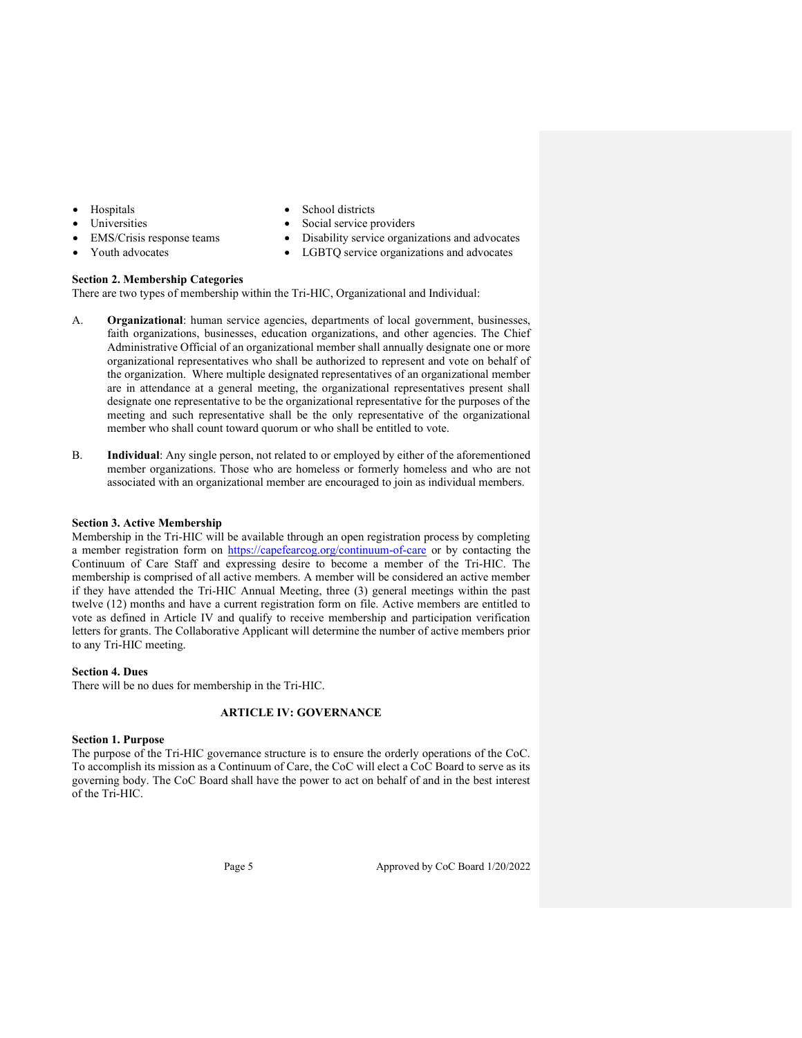- 
- 
- 
- 
- Hospitals <br>
School districts
- Universities Social service providers
- EMS/Crisis response teams Disability service organizations and advocates
	- Youth advocates **a** LGBTQ service organizations and advocates

## Section 2. Membership Categories

There are two types of membership within the Tri-HIC, Organizational and Individual:

- A. Organizational: human service agencies, departments of local government, businesses, faith organizations, businesses, education organizations, and other agencies. The Chief Administrative Official of an organizational member shall annually designate one or more organizational representatives who shall be authorized to represent and vote on behalf of the organization. Where multiple designated representatives of an organizational member are in attendance at a general meeting, the organizational representatives present shall designate one representative to be the organizational representative for the purposes of the meeting and such representative shall be the only representative of the organizational member who shall count toward quorum or who shall be entitled to vote.
- B. Individual: Any single person, not related to or employed by either of the aforementioned member organizations. Those who are homeless or formerly homeless and who are not associated with an organizational member are encouraged to join as individual members.

#### Section 3. Active Membership

Membership in the Tri-HIC will be available through an open registration process by completing a member registration form on https://capefearcog.org/continuum-of-care or by contacting the Continuum of Care Staff and expressing desire to become a member of the Tri-HIC. The membership is comprised of all active members. A member will be considered an active member if they have attended the Tri-HIC Annual Meeting, three (3) general meetings within the past twelve (12) months and have a current registration form on file. Active members are entitled to vote as defined in Article IV and qualify to receive membership and participation verification letters for grants. The Collaborative Applicant will determine the number of active members prior to any Tri-HIC meeting.

## Section 4. Dues

There will be no dues for membership in the Tri-HIC.

## ARTICLE IV: GOVERNANCE

#### Section 1. Purpose

The purpose of the Tri-HIC governance structure is to ensure the orderly operations of the CoC. To accomplish its mission as a Continuum of Care, the CoC will elect a CoC Board to serve as its governing body. The CoC Board shall have the power to act on behalf of and in the best interest of the Tri-HIC.

Page 5 Approved by CoC Board 1/20/2022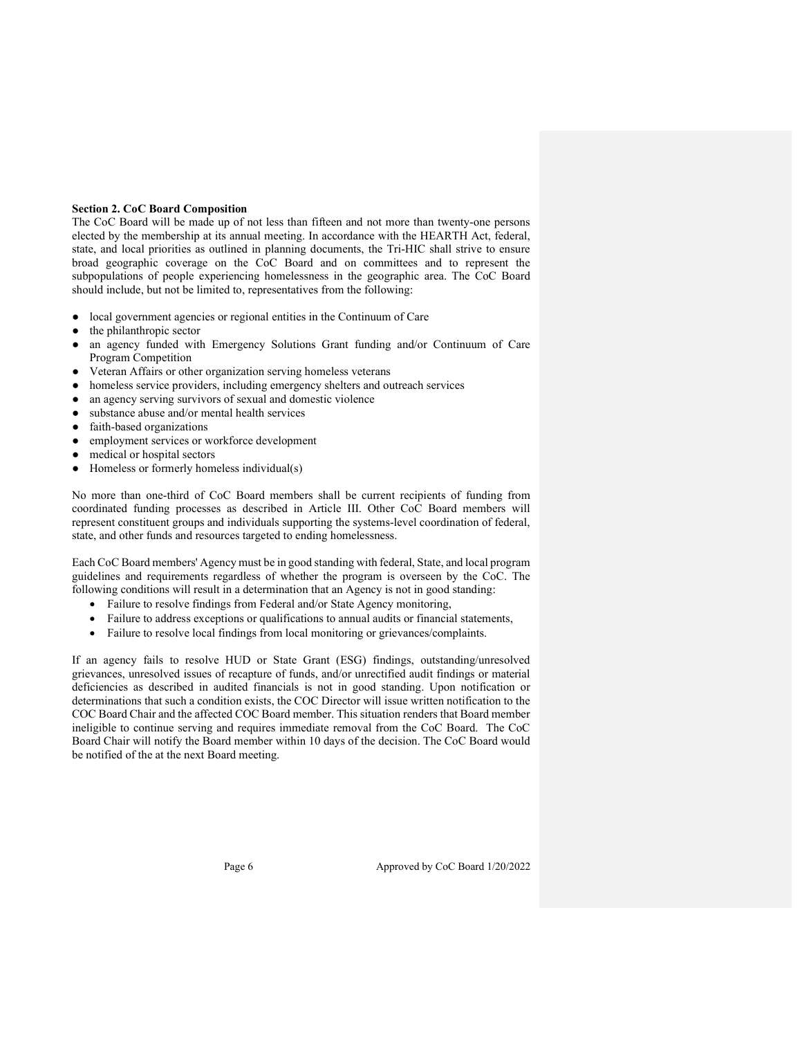# Section 2. CoC Board Composition

The CoC Board will be made up of not less than fifteen and not more than twenty-one persons elected by the membership at its annual meeting. In accordance with the HEARTH Act, federal, state, and local priorities as outlined in planning documents, the Tri-HIC shall strive to ensure broad geographic coverage on the CoC Board and on committees and to represent the subpopulations of people experiencing homelessness in the geographic area. The CoC Board should include, but not be limited to, representatives from the following:

- local government agencies or regional entities in the Continuum of Care
- the philanthropic sector
- an agency funded with Emergency Solutions Grant funding and/or Continuum of Care Program Competition
- Veteran Affairs or other organization serving homeless veterans
- homeless service providers, including emergency shelters and outreach services
- an agency serving survivors of sexual and domestic violence
- substance abuse and/or mental health services
- faith-based organizations
- employment services or workforce development
- medical or hospital sectors
- Homeless or formerly homeless individual(s)

No more than one-third of CoC Board members shall be current recipients of funding from coordinated funding processes as described in Article III. Other CoC Board members will represent constituent groups and individuals supporting the systems-level coordination of federal, state, and other funds and resources targeted to ending homelessness.

Each CoC Board members' Agency must be in good standing with federal, State, and local program guidelines and requirements regardless of whether the program is overseen by the CoC. The following conditions will result in a determination that an Agency is not in good standing:

- Failure to resolve findings from Federal and/or State Agency monitoring,
- Failure to address exceptions or qualifications to annual audits or financial statements,
- Failure to resolve local findings from local monitoring or grievances/complaints.

If an agency fails to resolve HUD or State Grant (ESG) findings, outstanding/unresolved grievances, unresolved issues of recapture of funds, and/or unrectified audit findings or material deficiencies as described in audited financials is not in good standing. Upon notification or determinations that such a condition exists, the COC Director will issue written notification to the COC Board Chair and the affected COC Board member. This situation renders that Board member ineligible to continue serving and requires immediate removal from the CoC Board. The CoC Board Chair will notify the Board member within 10 days of the decision. The CoC Board would be notified of the at the next Board meeting.

Page 6 Approved by CoC Board 1/20/2022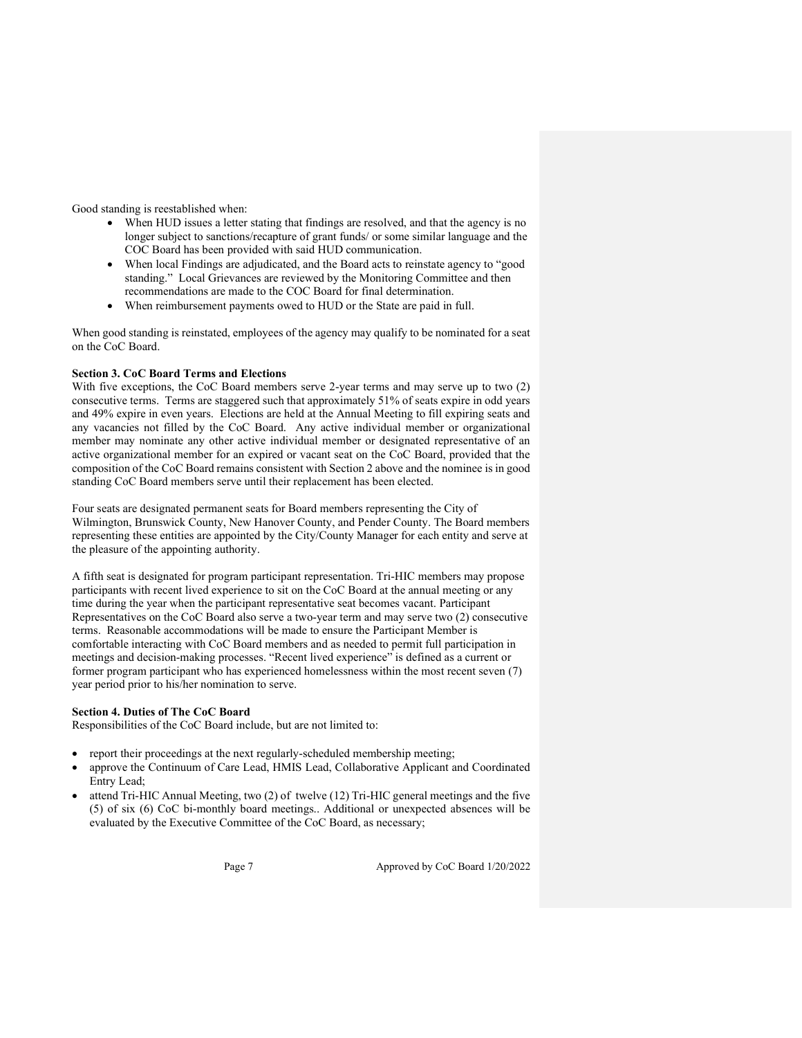Good standing is reestablished when:

- When HUD issues a letter stating that findings are resolved, and that the agency is no longer subject to sanctions/recapture of grant funds/ or some similar language and the COC Board has been provided with said HUD communication.
- When local Findings are adjudicated, and the Board acts to reinstate agency to "good standing." Local Grievances are reviewed by the Monitoring Committee and then recommendations are made to the COC Board for final determination.
- When reimbursement payments owed to HUD or the State are paid in full.

When good standing is reinstated, employees of the agency may qualify to be nominated for a seat on the CoC Board.

## Section 3. CoC Board Terms and Elections

With five exceptions, the CoC Board members serve 2-year terms and may serve up to two (2) consecutive terms. Terms are staggered such that approximately 51% of seats expire in odd years and 49% expire in even years. Elections are held at the Annual Meeting to fill expiring seats and any vacancies not filled by the CoC Board. Any active individual member or organizational member may nominate any other active individual member or designated representative of an active organizational member for an expired or vacant seat on the CoC Board, provided that the composition of the CoC Board remains consistent with Section 2 above and the nominee is in good standing CoC Board members serve until their replacement has been elected.

Four seats are designated permanent seats for Board members representing the City of Wilmington, Brunswick County, New Hanover County, and Pender County. The Board members representing these entities are appointed by the City/County Manager for each entity and serve at the pleasure of the appointing authority.

A fifth seat is designated for program participant representation. Tri-HIC members may propose participants with recent lived experience to sit on the CoC Board at the annual meeting or any time during the year when the participant representative seat becomes vacant. Participant Representatives on the CoC Board also serve a two-year term and may serve two (2) consecutive terms. Reasonable accommodations will be made to ensure the Participant Member is comfortable interacting with CoC Board members and as needed to permit full participation in meetings and decision-making processes. "Recent lived experience" is defined as a current or former program participant who has experienced homelessness within the most recent seven (7) year period prior to his/her nomination to serve.

#### Section 4. Duties of The CoC Board

Responsibilities of the CoC Board include, but are not limited to:

- report their proceedings at the next regularly-scheduled membership meeting;
- approve the Continuum of Care Lead, HMIS Lead, Collaborative Applicant and Coordinated Entry Lead;
- attend Tri-HIC Annual Meeting, two (2) of twelve (12) Tri-HIC general meetings and the five (5) of six (6) CoC bi-monthly board meetings.. Additional or unexpected absences will be evaluated by the Executive Committee of the CoC Board, as necessary;

Page 7 Approved by CoC Board 1/20/2022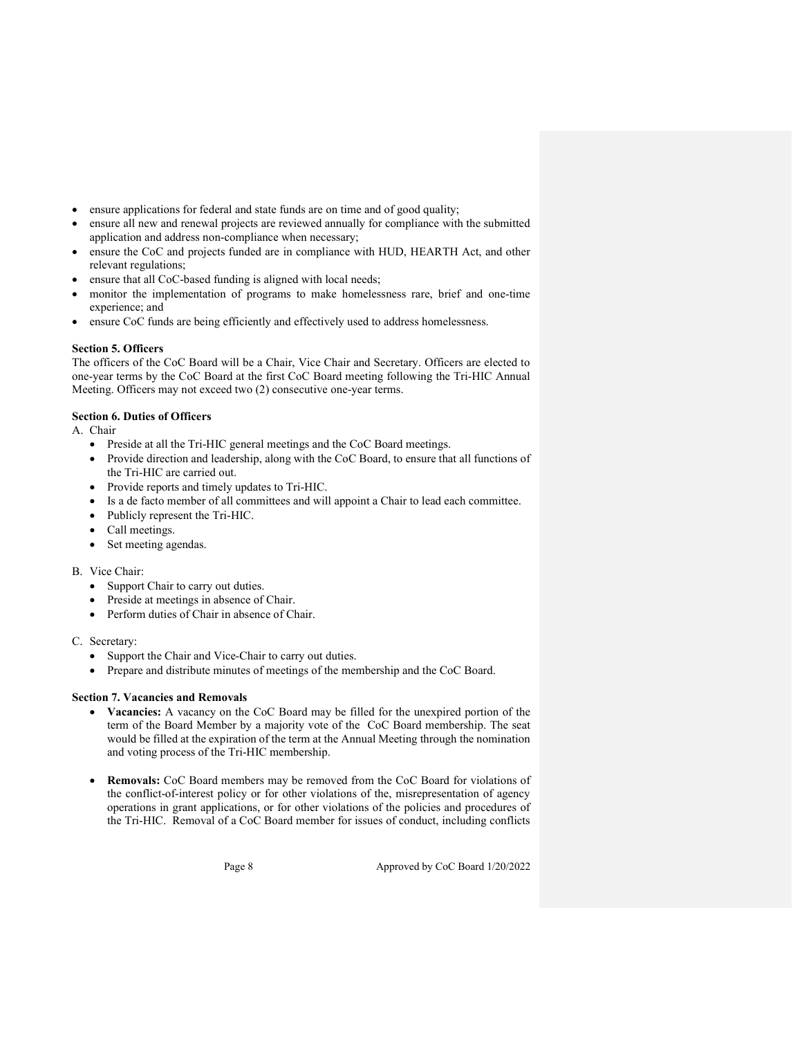- ensure applications for federal and state funds are on time and of good quality;
- ensure all new and renewal projects are reviewed annually for compliance with the submitted application and address non-compliance when necessary;
- ensure the CoC and projects funded are in compliance with HUD, HEARTH Act, and other relevant regulations;
- ensure that all CoC-based funding is aligned with local needs;
- monitor the implementation of programs to make homelessness rare, brief and one-time experience; and
- ensure CoC funds are being efficiently and effectively used to address homelessness.

# Section 5. Officers

The officers of the CoC Board will be a Chair, Vice Chair and Secretary. Officers are elected to one-year terms by the CoC Board at the first CoC Board meeting following the Tri-HIC Annual Meeting. Officers may not exceed two (2) consecutive one-year terms.

# Section 6. Duties of Officers

A. Chair

- Preside at all the Tri-HIC general meetings and the CoC Board meetings.
- Provide direction and leadership, along with the CoC Board, to ensure that all functions of the Tri-HIC are carried out.
- Provide reports and timely updates to Tri-HIC.
- Is a de facto member of all committees and will appoint a Chair to lead each committee.
- Publicly represent the Tri-HIC.
- Call meetings.
- Set meeting agendas.

## B. Vice Chair:

- Support Chair to carry out duties.
- Preside at meetings in absence of Chair.
- Perform duties of Chair in absence of Chair.

## C. Secretary:

- Support the Chair and Vice-Chair to carry out duties.
- Prepare and distribute minutes of meetings of the membership and the CoC Board.

# Section 7. Vacancies and Removals

- Vacancies: A vacancy on the CoC Board may be filled for the unexpired portion of the term of the Board Member by a majority vote of the CoC Board membership. The seat would be filled at the expiration of the term at the Annual Meeting through the nomination and voting process of the Tri-HIC membership.
- Removals: CoC Board members may be removed from the CoC Board for violations of the conflict-of-interest policy or for other violations of the, misrepresentation of agency operations in grant applications, or for other violations of the policies and procedures of the Tri-HIC. Removal of a CoC Board member for issues of conduct, including conflicts

Page 8 Approved by CoC Board 1/20/2022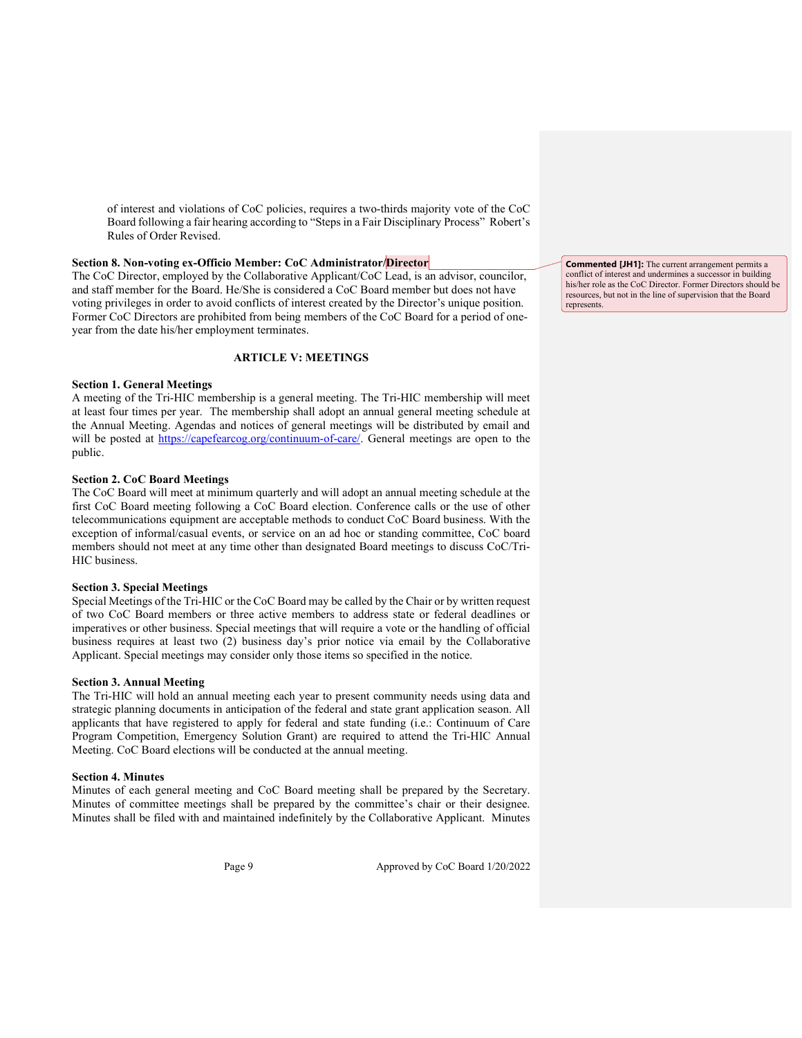of interest and violations of CoC policies, requires a two-thirds majority vote of the CoC Board following a fair hearing according to "Steps in a Fair Disciplinary Process" Robert's Rules of Order Revised.

#### Section 8. Non-voting ex-Officio Member: CoC Administrator/Director

The CoC Director, employed by the Collaborative Applicant/CoC Lead, is an advisor, councilor, and staff member for the Board. He/She is considered a CoC Board member but does not have voting privileges in order to avoid conflicts of interest created by the Director's unique position. Former CoC Directors are prohibited from being members of the CoC Board for a period of oneyear from the date his/her employment terminates.

# ARTICLE V: MEETINGS

#### Section 1. General Meetings

A meeting of the Tri-HIC membership is a general meeting. The Tri-HIC membership will meet at least four times per year. The membership shall adopt an annual general meeting schedule at the Annual Meeting. Agendas and notices of general meetings will be distributed by email and will be posted at https://capefearcog.org/continuum-of-care/. General meetings are open to the public.

#### Section 2. CoC Board Meetings

The CoC Board will meet at minimum quarterly and will adopt an annual meeting schedule at the first CoC Board meeting following a CoC Board election. Conference calls or the use of other telecommunications equipment are acceptable methods to conduct CoC Board business. With the exception of informal/casual events, or service on an ad hoc or standing committee, CoC board members should not meet at any time other than designated Board meetings to discuss CoC/Tri-HIC business.

#### Section 3. Special Meetings

Special Meetings of the Tri-HIC or the CoC Board may be called by the Chair or by written request of two CoC Board members or three active members to address state or federal deadlines or imperatives or other business. Special meetings that will require a vote or the handling of official business requires at least two (2) business day's prior notice via email by the Collaborative Applicant. Special meetings may consider only those items so specified in the notice.

#### Section 3. Annual Meeting

The Tri-HIC will hold an annual meeting each year to present community needs using data and strategic planning documents in anticipation of the federal and state grant application season. All applicants that have registered to apply for federal and state funding (i.e.: Continuum of Care Program Competition, Emergency Solution Grant) are required to attend the Tri-HIC Annual Meeting. CoC Board elections will be conducted at the annual meeting.

## Section 4. Minutes

Minutes of each general meeting and CoC Board meeting shall be prepared by the Secretary. Minutes of committee meetings shall be prepared by the committee's chair or their designee. Minutes shall be filed with and maintained indefinitely by the Collaborative Applicant. Minutes

Page 9 Approved by CoC Board 1/20/2022

Commented [JH1]: The current arrangement permits a conflict of interest and undermines a successor in building his/her role as the CoC Director. Former Directors should be resources, but not in the line of supervision that the Board represents.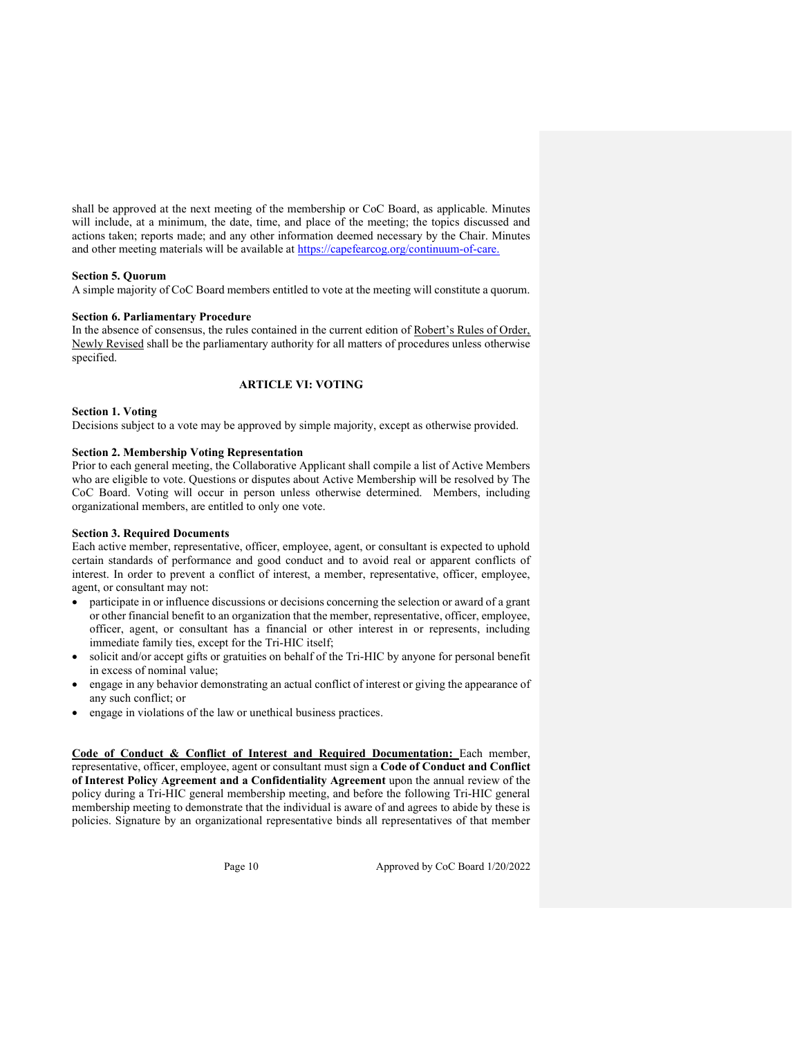shall be approved at the next meeting of the membership or CoC Board, as applicable. Minutes will include, at a minimum, the date, time, and place of the meeting; the topics discussed and actions taken; reports made; and any other information deemed necessary by the Chair. Minutes and other meeting materials will be available at https://capefearcog.org/continuum-of-care.

## Section 5. Quorum

A simple majority of CoC Board members entitled to vote at the meeting will constitute a quorum.

### Section 6. Parliamentary Procedure

In the absence of consensus, the rules contained in the current edition of Robert's Rules of Order, Newly Revised shall be the parliamentary authority for all matters of procedures unless otherwise specified.

# ARTICLE VI: VOTING

### Section 1. Voting

Decisions subject to a vote may be approved by simple majority, except as otherwise provided.

#### Section 2. Membership Voting Representation

Prior to each general meeting, the Collaborative Applicant shall compile a list of Active Members who are eligible to vote. Questions or disputes about Active Membership will be resolved by The CoC Board. Voting will occur in person unless otherwise determined. Members, including organizational members, are entitled to only one vote.

# Section 3. Required Documents

Each active member, representative, officer, employee, agent, or consultant is expected to uphold certain standards of performance and good conduct and to avoid real or apparent conflicts of interest. In order to prevent a conflict of interest, a member, representative, officer, employee, agent, or consultant may not:

- participate in or influence discussions or decisions concerning the selection or award of a grant or other financial benefit to an organization that the member, representative, officer, employee, officer, agent, or consultant has a financial or other interest in or represents, including immediate family ties, except for the Tri-HIC itself;
- solicit and/or accept gifts or gratuities on behalf of the Tri-HIC by anyone for personal benefit in excess of nominal value;
- engage in any behavior demonstrating an actual conflict of interest or giving the appearance of any such conflict; or
- engage in violations of the law or unethical business practices.

Code of Conduct & Conflict of Interest and Required Documentation: Each member, representative, officer, employee, agent or consultant must sign a Code of Conduct and Conflict of Interest Policy Agreement and a Confidentiality Agreement upon the annual review of the policy during a Tri-HIC general membership meeting, and before the following Tri-HIC general membership meeting to demonstrate that the individual is aware of and agrees to abide by these is policies. Signature by an organizational representative binds all representatives of that member

Page 10 Approved by CoC Board 1/20/2022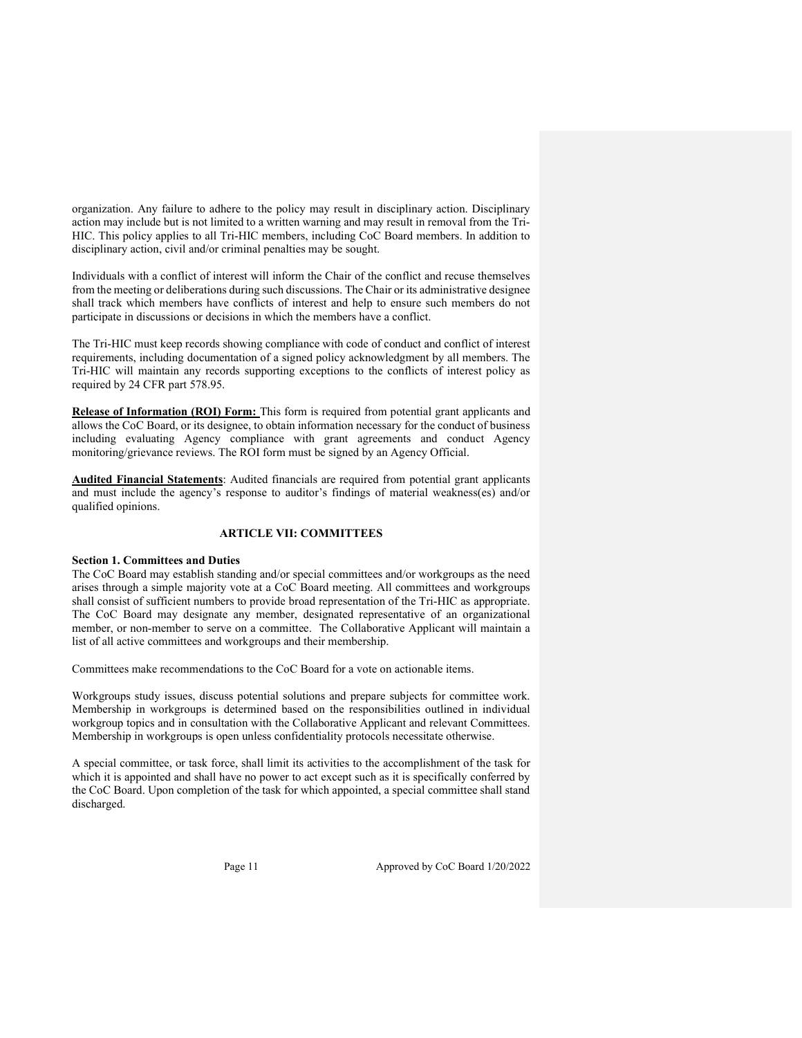organization. Any failure to adhere to the policy may result in disciplinary action. Disciplinary action may include but is not limited to a written warning and may result in removal from the Tri-HIC. This policy applies to all Tri-HIC members, including CoC Board members. In addition to disciplinary action, civil and/or criminal penalties may be sought.

Individuals with a conflict of interest will inform the Chair of the conflict and recuse themselves from the meeting or deliberations during such discussions. The Chair or its administrative designee shall track which members have conflicts of interest and help to ensure such members do not participate in discussions or decisions in which the members have a conflict.

The Tri-HIC must keep records showing compliance with code of conduct and conflict of interest requirements, including documentation of a signed policy acknowledgment by all members. The Tri-HIC will maintain any records supporting exceptions to the conflicts of interest policy as required by 24 CFR part 578.95.

Release of Information (ROI) Form: This form is required from potential grant applicants and allows the CoC Board, or its designee, to obtain information necessary for the conduct of business including evaluating Agency compliance with grant agreements and conduct Agency monitoring/grievance reviews. The ROI form must be signed by an Agency Official.

**Audited Financial Statements**: Audited financials are required from potential grant applicants and must include the agency's response to auditor's findings of material weakness(es) and/or qualified opinions.

# ARTICLE VII: COMMITTEES

# Section 1. Committees and Duties

The CoC Board may establish standing and/or special committees and/or workgroups as the need arises through a simple majority vote at a CoC Board meeting. All committees and workgroups shall consist of sufficient numbers to provide broad representation of the Tri-HIC as appropriate. The CoC Board may designate any member, designated representative of an organizational member, or non-member to serve on a committee. The Collaborative Applicant will maintain a list of all active committees and workgroups and their membership.

Committees make recommendations to the CoC Board for a vote on actionable items.

Workgroups study issues, discuss potential solutions and prepare subjects for committee work. Membership in workgroups is determined based on the responsibilities outlined in individual workgroup topics and in consultation with the Collaborative Applicant and relevant Committees. Membership in workgroups is open unless confidentiality protocols necessitate otherwise.

A special committee, or task force, shall limit its activities to the accomplishment of the task for which it is appointed and shall have no power to act except such as it is specifically conferred by the CoC Board. Upon completion of the task for which appointed, a special committee shall stand discharged.

Page 11 Approved by CoC Board 1/20/2022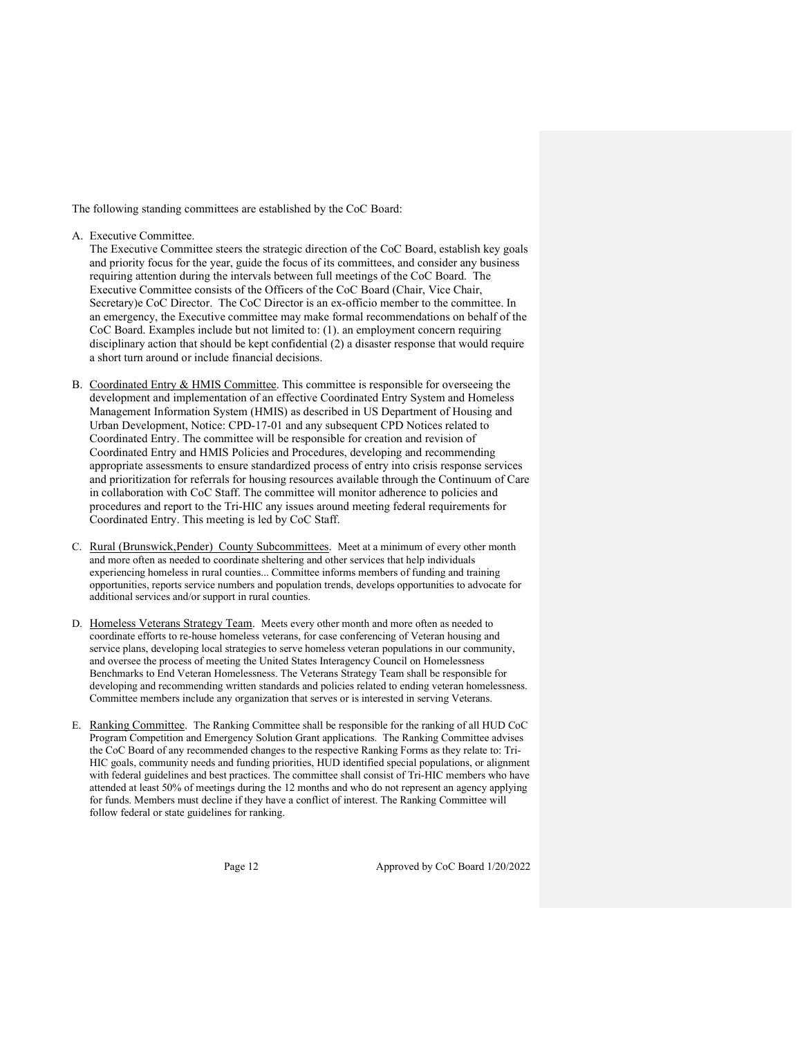The following standing committees are established by the CoC Board:

A. Executive Committee.

The Executive Committee steers the strategic direction of the CoC Board, establish key goals and priority focus for the year, guide the focus of its committees, and consider any business requiring attention during the intervals between full meetings of the CoC Board. The Executive Committee consists of the Officers of the CoC Board (Chair, Vice Chair, Secretary)e CoC Director. The CoC Director is an ex-officio member to the committee. In an emergency, the Executive committee may make formal recommendations on behalf of the CoC Board. Examples include but not limited to: (1). an employment concern requiring disciplinary action that should be kept confidential (2) a disaster response that would require a short turn around or include financial decisions.

- B. Coordinated Entry & HMIS Committee. This committee is responsible for overseeing the development and implementation of an effective Coordinated Entry System and Homeless Management Information System (HMIS) as described in US Department of Housing and Urban Development, Notice: CPD-17-01 and any subsequent CPD Notices related to Coordinated Entry. The committee will be responsible for creation and revision of Coordinated Entry and HMIS Policies and Procedures, developing and recommending appropriate assessments to ensure standardized process of entry into crisis response services and prioritization for referrals for housing resources available through the Continuum of Care in collaboration with CoC Staff. The committee will monitor adherence to policies and procedures and report to the Tri-HIC any issues around meeting federal requirements for Coordinated Entry. This meeting is led by CoC Staff.
- C. Rural (Brunswick,Pender) County Subcommittees. Meet at a minimum of every other month and more often as needed to coordinate sheltering and other services that help individuals experiencing homeless in rural counties... Committee informs members of funding and training opportunities, reports service numbers and population trends, develops opportunities to advocate for additional services and/or support in rural counties.
- D. Homeless Veterans Strategy Team. Meets every other month and more often as needed to coordinate efforts to re-house homeless veterans, for case conferencing of Veteran housing and service plans, developing local strategies to serve homeless veteran populations in our community, and oversee the process of meeting the United States Interagency Council on Homelessness Benchmarks to End Veteran Homelessness. The Veterans Strategy Team shall be responsible for developing and recommending written standards and policies related to ending veteran homelessness. Committee members include any organization that serves or is interested in serving Veterans.
- E. Ranking Committee. The Ranking Committee shall be responsible for the ranking of all HUD CoC Program Competition and Emergency Solution Grant applications. The Ranking Committee advises the CoC Board of any recommended changes to the respective Ranking Forms as they relate to: Tri-HIC goals, community needs and funding priorities, HUD identified special populations, or alignment with federal guidelines and best practices. The committee shall consist of Tri-HIC members who have attended at least 50% of meetings during the 12 months and who do not represent an agency applying for funds. Members must decline if they have a conflict of interest. The Ranking Committee will follow federal or state guidelines for ranking.

Page 12 Approved by CoC Board 1/20/2022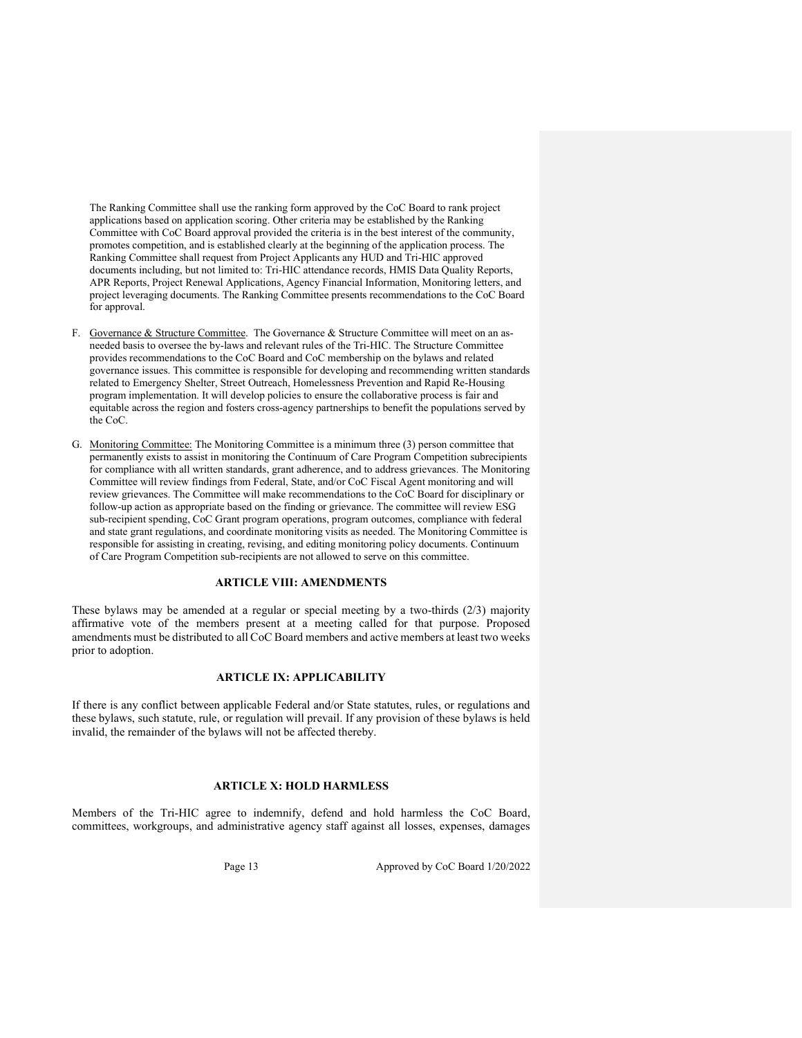The Ranking Committee shall use the ranking form approved by the CoC Board to rank project applications based on application scoring. Other criteria may be established by the Ranking Committee with CoC Board approval provided the criteria is in the best interest of the community, promotes competition, and is established clearly at the beginning of the application process. The Ranking Committee shall request from Project Applicants any HUD and Tri-HIC approved documents including, but not limited to: Tri-HIC attendance records, HMIS Data Quality Reports, APR Reports, Project Renewal Applications, Agency Financial Information, Monitoring letters, and project leveraging documents. The Ranking Committee presents recommendations to the CoC Board for approval.

- F. Governance & Structure Committee. The Governance & Structure Committee will meet on an asneeded basis to oversee the by-laws and relevant rules of the Tri-HIC. The Structure Committee provides recommendations to the CoC Board and CoC membership on the bylaws and related governance issues. This committee is responsible for developing and recommending written standards related to Emergency Shelter, Street Outreach, Homelessness Prevention and Rapid Re-Housing program implementation. It will develop policies to ensure the collaborative process is fair and equitable across the region and fosters cross-agency partnerships to benefit the populations served by the CoC.
- G. Monitoring Committee: The Monitoring Committee is a minimum three (3) person committee that permanently exists to assist in monitoring the Continuum of Care Program Competition subrecipients for compliance with all written standards, grant adherence, and to address grievances. The Monitoring Committee will review findings from Federal, State, and/or CoC Fiscal Agent monitoring and will review grievances. The Committee will make recommendations to the CoC Board for disciplinary or follow-up action as appropriate based on the finding or grievance. The committee will review ESG sub-recipient spending, CoC Grant program operations, program outcomes, compliance with federal and state grant regulations, and coordinate monitoring visits as needed. The Monitoring Committee is responsible for assisting in creating, revising, and editing monitoring policy documents. Continuum of Care Program Competition sub-recipients are not allowed to serve on this committee.

#### ARTICLE VIII: AMENDMENTS

These bylaws may be amended at a regular or special meeting by a two-thirds (2/3) majority affirmative vote of the members present at a meeting called for that purpose. Proposed amendments must be distributed to all CoC Board members and active members at least two weeks prior to adoption.

### ARTICLE IX: APPLICABILITY

If there is any conflict between applicable Federal and/or State statutes, rules, or regulations and these bylaws, such statute, rule, or regulation will prevail. If any provision of these bylaws is held invalid, the remainder of the bylaws will not be affected thereby.

# ARTICLE X: HOLD HARMLESS

Members of the Tri-HIC agree to indemnify, defend and hold harmless the CoC Board, committees, workgroups, and administrative agency staff against all losses, expenses, damages

Page 13 Approved by CoC Board 1/20/2022